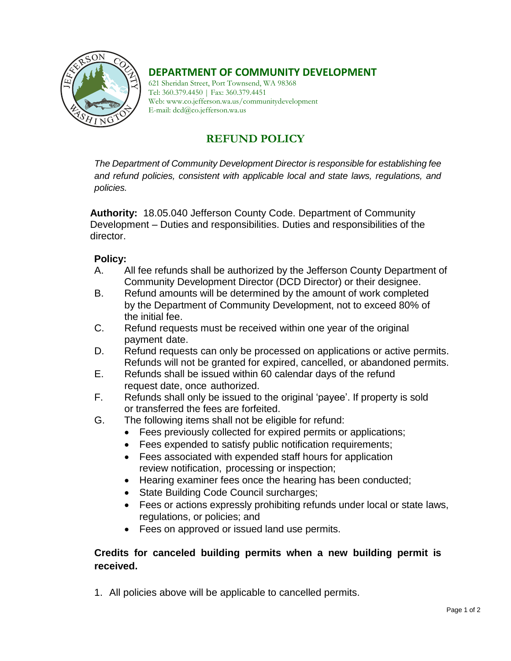

## **DEPARTMENT OF COMMUNITY DEVELOPMENT**

621 Sheridan Street, Port Townsend, WA 98368 Tel: 360.379.4450 | Fax: 360.379.4451 Web: www.co.jefferson.wa.us/communitydevelopment E-mail: dcd@co.jefferson.wa.us

## **REFUND POLICY**

*The Department of Community Development Director is responsible for establishing fee and refund policies, consistent with applicable local and state laws, regulations, and policies.* 

**Authority:** 18.05.040 Jefferson County Code. Department of Community Development – Duties and responsibilities. Duties and responsibilities of the director.

## **Policy:**

- A. All fee refunds shall be authorized by the Jefferson County Department of Community Development Director (DCD Director) or their designee.
- B. Refund amounts will be determined by the amount of work completed by the Department of Community Development, not to exceed 80% of the initial fee.
- C. Refund requests must be received within one year of the original payment date.
- D. Refund requests can only be processed on applications or active permits. Refunds will not be granted for expired, cancelled, or abandoned permits.
- E. Refunds shall be issued within 60 calendar days of the refund request date, once authorized.
- F. Refunds shall only be issued to the original 'payee'. If property is sold or transferred the fees are forfeited.
- G. The following items shall not be eligible for refund:
	- Fees previously collected for expired permits or applications;
	- Fees expended to satisfy public notification requirements;
	- Fees associated with expended staff hours for application review notification, processing or inspection;
	- Hearing examiner fees once the hearing has been conducted;
	- State Building Code Council surcharges;
	- Fees or actions expressly prohibiting refunds under local or state laws, regulations, or policies; and
	- Fees on approved or issued land use permits.

## **Credits for canceled building permits when a new building permit is received.**

1. All policies above will be applicable to cancelled permits.